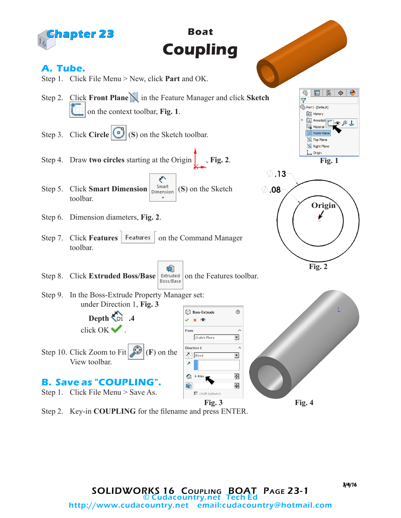

Step 2. Key-in **COUPLING** for the filename and press ENTER.